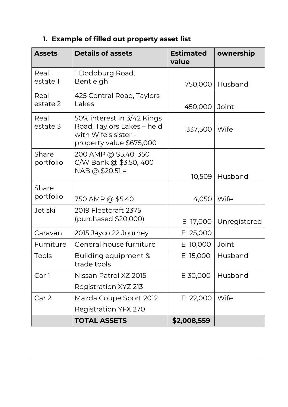## **1. Example of filled out property asset list**

| <b>Assets</b>      | <b>Details of assets</b>                                                                                     | <b>Estimated</b><br>value | ownership    |
|--------------------|--------------------------------------------------------------------------------------------------------------|---------------------------|--------------|
| Real<br>estate 1   | 1 Dodoburg Road,<br>Bentleigh                                                                                | 750,000                   | Husband      |
| Real<br>estate 2   | 425 Central Road, Taylors<br>Lakes                                                                           | 450,000                   | Joint        |
| Real<br>estate 3   | 50% interest in 3/42 Kings<br>Road, Taylors Lakes - held<br>with Wife's sister -<br>property value \$675,000 | 337,500                   | Wife         |
| Share<br>portfolio | 200 AMP @ \$5.40, 350<br>C/W Bank @ \$3.50, 400<br>NAB @ \$20.51 =                                           | 10,509                    | Husband      |
| Share<br>portfolio | 750 AMP @ \$5.40                                                                                             | 4,050                     | Wife         |
| Jet ski            | 2019 Fleetcraft 2375<br>(purchased \$20,000)                                                                 | 17,000<br>Е               | Unregistered |
| Caravan            | 2015 Jayco 22 Journey                                                                                        | E 25,000                  |              |
| Furniture          | General house furniture                                                                                      | E 10,000                  | Joint        |
| Tools              | Building equipment &<br>trade tools                                                                          | E 15,000                  | Husband      |
| Car 1              | Nissan Patrol XZ 2015                                                                                        | E 30,000                  | Husband      |
|                    | Registration XYZ 213                                                                                         |                           |              |
| Car 2              | Mazda Coupe Sport 2012                                                                                       | E 22,000                  | Wife         |
|                    | Registration YFX 270                                                                                         |                           |              |
|                    | <b>TOTAL ASSETS</b>                                                                                          | \$2,008,559               |              |